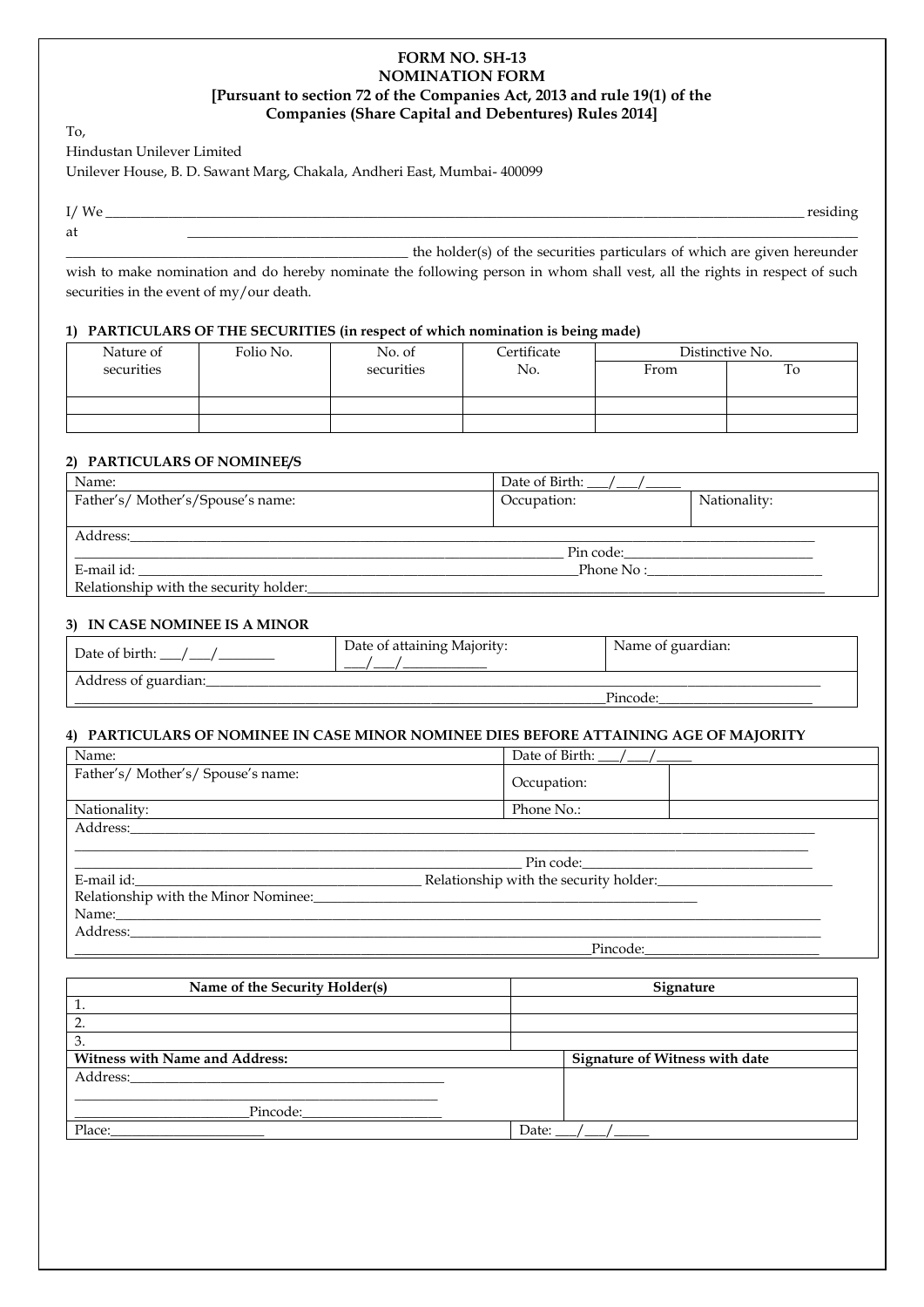# **FORM NO. SH-13 NOMINATION FORM [Pursuant to section 72 of the Companies Act, 2013 and rule 19(1) of the Companies (Share Capital and Debentures) Rules 2014]**

To,

Hindustan Unilever Limited

Unilever House, B. D. Sawant Marg, Chakala, Andheri East, Mumbai- 400099

I/ We \_\_\_\_\_\_\_\_\_\_\_\_\_\_\_\_\_\_\_\_\_\_\_\_\_\_\_\_\_\_\_\_\_\_\_\_\_\_\_\_\_\_\_\_\_\_\_\_\_\_\_\_\_\_\_\_\_\_\_\_\_\_\_\_\_\_\_\_\_\_\_\_\_\_\_\_\_\_\_\_\_\_\_\_\_\_\_\_\_\_\_\_\_\_\_\_\_\_\_\_ residing at  $\qquad \qquad \qquad \qquad \qquad \qquad \qquad \qquad \qquad \qquad \qquad \qquad \qquad \qquad \qquad \qquad \qquad \qquad \qquad \qquad \qquad \qquad \qquad \qquad -$ 

\_\_\_\_\_\_\_\_\_\_\_\_\_\_\_\_\_\_\_\_\_\_\_\_\_\_\_\_\_\_\_\_\_\_\_\_\_\_\_\_\_\_\_\_\_\_\_\_\_ the holder(s) of the securities particulars of which are given hereunder wish to make nomination and do hereby nominate the following person in whom shall vest, all the rights in respect of such securities in the event of my/our death.

# **1) PARTICULARS OF THE SECURITIES (in respect of which nomination is being made)**

| Nature of  | Folio No. | No. of     | Certificate |      | Distinctive No. |
|------------|-----------|------------|-------------|------|-----------------|
| securities |           | securities | No.         | From | To              |
|            |           |            |             |      |                 |
|            |           |            |             |      |                 |
|            |           |            |             |      |                 |

# **2) PARTICULARS OF NOMINEE/S**

| Name:                                  | Date of Birth: $\angle$ / $\angle$ |              |
|----------------------------------------|------------------------------------|--------------|
| Father's/Mother's/Spouse's name:       | Occupation:                        | Nationality: |
|                                        |                                    |              |
| Address:                               |                                    |              |
|                                        | Pin code:                          |              |
| E-mail id:<br>Phone No:                |                                    |              |
| Relationship with the security holder: |                                    |              |

# **3) IN CASE NOMINEE IS A MINOR**

| Date of birth:       | Date of attaining Majority: | Name of guardian: |
|----------------------|-----------------------------|-------------------|
| Address of guardian: |                             |                   |
|                      |                             | Pincode           |

### **4) PARTICULARS OF NOMINEE IN CASE MINOR NOMINEE DIES BEFORE ATTAINING AGE OF MAJORITY**

| Name:                                            | Date of Birth: $\angle$ / $\angle$     |  |
|--------------------------------------------------|----------------------------------------|--|
| Father's/ Mother's/ Spouse's name:               | Occupation:                            |  |
| Nationality:                                     | Phone No.:                             |  |
| Address:______________                           |                                        |  |
|                                                  |                                        |  |
|                                                  |                                        |  |
|                                                  | Relationship with the security holder: |  |
| Relationship with the Minor Nominee:<br><u> </u> |                                        |  |
| Name: Name:                                      |                                        |  |
|                                                  |                                        |  |
|                                                  | Pincode:                               |  |

| Name of the Security Holder(s)        | Signature                      |
|---------------------------------------|--------------------------------|
| 1.                                    |                                |
| 2.                                    |                                |
| 3.                                    |                                |
| <b>Witness with Name and Address:</b> | Signature of Witness with date |
| Address:                              |                                |
|                                       |                                |
| Pincode:                              |                                |
| Place:                                | Date:                          |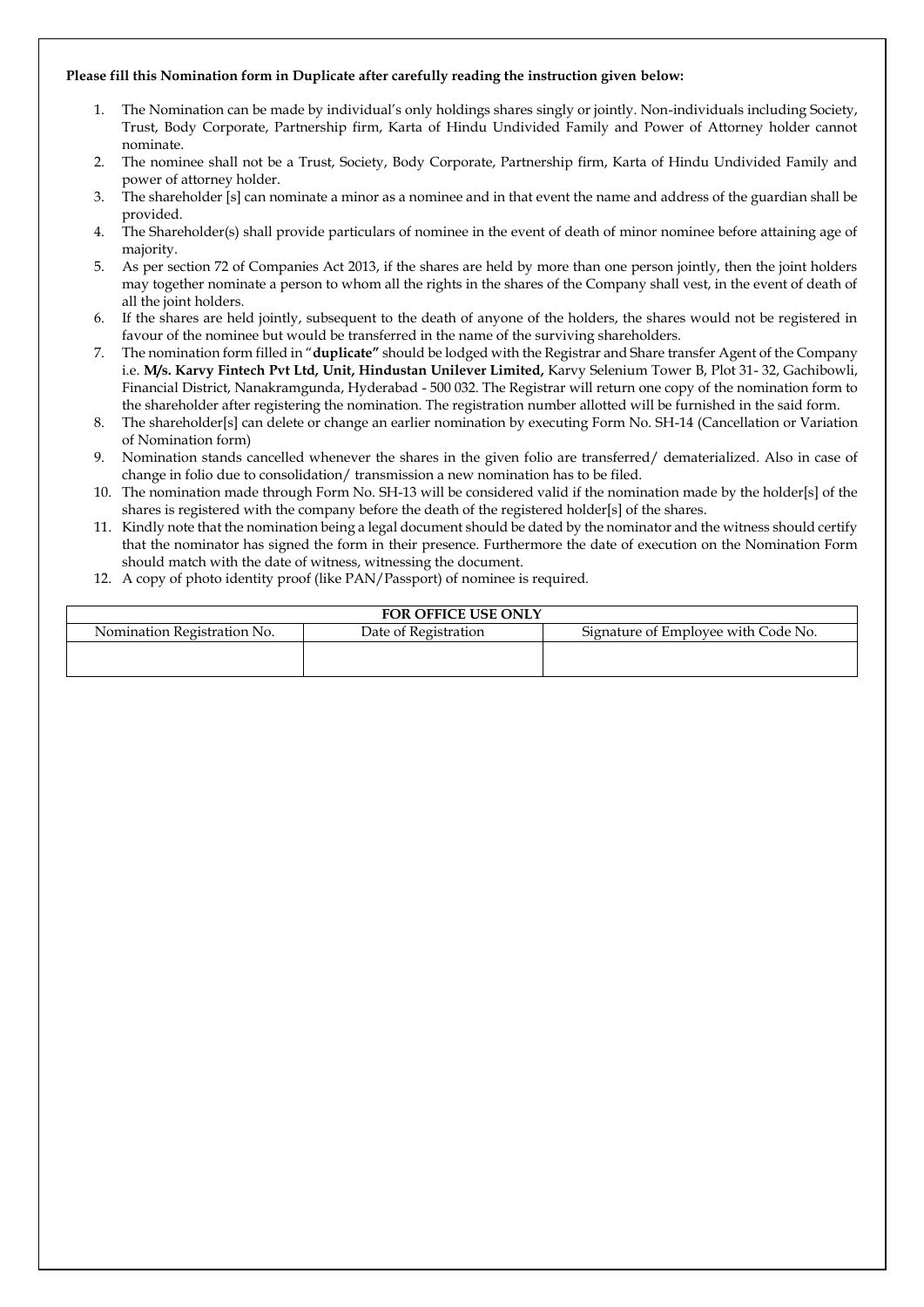#### **Please fill this Nomination form in Duplicate after carefully reading the instruction given below:**

- 1. The Nomination can be made by individual's only holdings shares singly or jointly. Non-individuals including Society, Trust, Body Corporate, Partnership firm, Karta of Hindu Undivided Family and Power of Attorney holder cannot nominate.
- 2. The nominee shall not be a Trust, Society, Body Corporate, Partnership firm, Karta of Hindu Undivided Family and power of attorney holder.
- 3. The shareholder [s] can nominate a minor as a nominee and in that event the name and address of the guardian shall be provided.
- 4. The Shareholder(s) shall provide particulars of nominee in the event of death of minor nominee before attaining age of majority.
- 5. As per section 72 of Companies Act 2013, if the shares are held by more than one person jointly, then the joint holders may together nominate a person to whom all the rights in the shares of the Company shall vest, in the event of death of all the joint holders.
- 6. If the shares are held jointly, subsequent to the death of anyone of the holders, the shares would not be registered in favour of the nominee but would be transferred in the name of the surviving shareholders.
- 7. The nomination form filled in "**duplicate"** should be lodged with the Registrar and Share transfer Agent of the Company i.e. **M/s. Karvy Fintech Pvt Ltd, Unit, Hindustan Unilever Limited,** Karvy Selenium Tower B, Plot 31- 32, Gachibowli, Financial District, Nanakramgunda, Hyderabad - 500 032. The Registrar will return one copy of the nomination form to the shareholder after registering the nomination. The registration number allotted will be furnished in the said form.
- 8. The shareholder[s] can delete or change an earlier nomination by executing Form No. SH-14 (Cancellation or Variation of Nomination form)
- 9. Nomination stands cancelled whenever the shares in the given folio are transferred/ dematerialized. Also in case of change in folio due to consolidation/ transmission a new nomination has to be filed.
- 10. The nomination made through Form No. SH-13 will be considered valid if the nomination made by the holder[s] of the shares is registered with the company before the death of the registered holder[s] of the shares.
- 11. Kindly note that the nomination being a legal document should be dated by the nominator and the witness should certify that the nominator has signed the form in their presence. Furthermore the date of execution on the Nomination Form should match with the date of witness, witnessing the document.
- 12. A copy of photo identity proof (like PAN/Passport) of nominee is required.

| <b>FOR OFFICE USE ONLY</b>                                                                 |  |  |  |  |
|--------------------------------------------------------------------------------------------|--|--|--|--|
| Signature of Employee with Code No.<br>Date of Registration<br>Nomination Registration No. |  |  |  |  |
|                                                                                            |  |  |  |  |
|                                                                                            |  |  |  |  |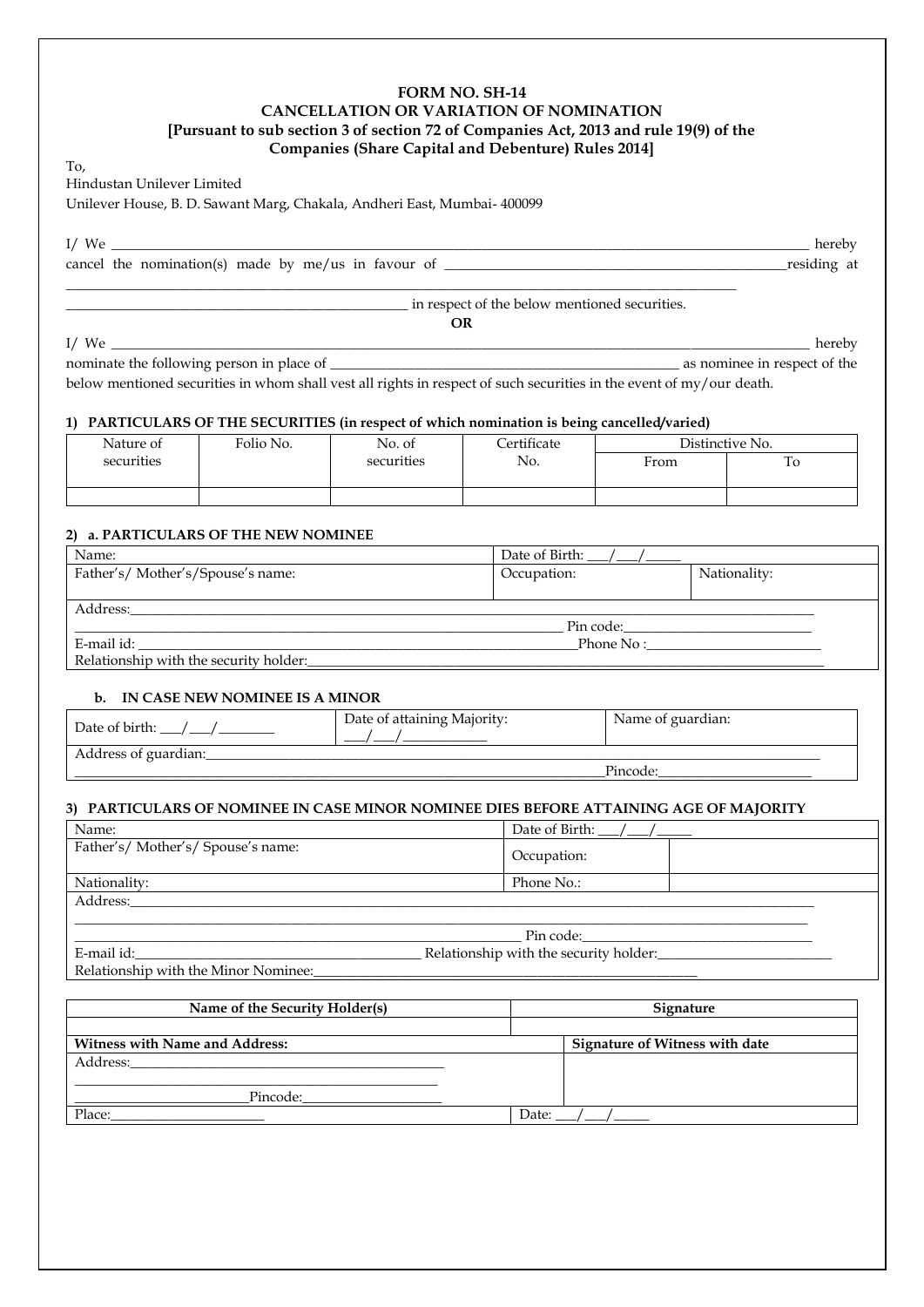# **FORM NO. SH-14 CANCELLATION OR VARIATION OF NOMINATION [Pursuant to sub section 3 of section 72 of Companies Act, 2013 and rule 19(9) of the Companies (Share Capital and Debenture) Rules 2014]**

To,

Hindustan Unilever Limited

Unilever House, B. D. Sawant Marg, Chakala, Andheri East, Mumbai- 400099

I/ We \_\_\_\_\_\_\_\_\_\_\_\_\_\_\_\_\_\_\_\_\_\_\_\_\_\_\_\_\_\_\_\_\_\_\_\_\_\_\_\_\_\_\_\_\_\_\_\_\_\_\_\_\_\_\_\_\_\_\_\_\_\_\_\_\_\_\_\_\_\_\_\_\_\_\_\_\_\_\_\_\_\_\_\_\_\_\_\_\_\_\_\_\_\_\_\_\_\_\_\_ hereby

cancel the nomination(s) made by me/us in favour of \_\_\_\_\_\_\_\_\_\_\_\_\_\_\_\_\_\_\_\_\_\_\_\_\_\_\_\_\_\_\_\_\_\_\_\_\_\_\_\_\_\_\_\_\_\_\_\_\_residing at

\_\_\_\_\_\_\_\_\_\_\_\_\_\_\_\_\_\_\_\_\_\_\_\_\_\_\_\_\_\_\_\_\_\_\_\_\_\_\_\_\_\_\_\_\_\_\_\_\_ in respect of the below mentioned securities.

**OR** I/ We \_\_\_\_\_\_\_\_\_\_\_\_\_\_\_\_\_\_\_\_\_\_\_\_\_\_\_\_\_\_\_\_\_\_\_\_\_\_\_\_\_\_\_\_\_\_\_\_\_\_\_\_\_\_\_\_\_\_\_\_\_\_\_\_\_\_\_\_\_\_\_\_\_\_\_\_\_\_\_\_\_\_\_\_\_\_\_\_\_\_\_\_\_\_\_\_\_\_\_\_ hereby nominate the following person in place of \_\_\_\_\_\_\_\_\_\_\_\_\_\_\_\_\_\_\_\_\_\_\_\_\_\_\_\_\_\_\_\_\_\_\_\_\_\_\_\_\_\_\_\_\_\_\_\_\_\_ as nominee in respect of the below mentioned securities in whom shall vest all rights in respect of such securities in the event of my/our death.

#### **1) PARTICULARS OF THE SECURITIES (in respect of which nomination is being cancelled/varied)**

\_\_\_\_\_\_\_\_\_\_\_\_\_\_\_\_\_\_\_\_\_\_\_\_\_\_\_\_\_\_\_\_\_\_\_\_\_\_\_\_\_\_\_\_\_\_\_\_\_\_\_\_\_\_\_\_\_\_\_\_\_\_\_\_\_\_\_\_\_\_\_\_\_\_\_\_\_\_\_\_\_\_\_\_\_\_\_\_\_\_\_\_\_\_\_\_

| Nature of  | Folio No. | No. of     | Certificate |      | Distinctive No. |
|------------|-----------|------------|-------------|------|-----------------|
| securities |           | securities | No.         | From | To              |
|            |           |            |             |      |                 |
|            |           |            |             |      |                 |

### **2) a. PARTICULARS OF THE NEW NOMINEE**

| Name:                                  | Date of Birth: |              |
|----------------------------------------|----------------|--------------|
| Father's/Mother's/Spouse's name:       | Occupation:    | Nationality: |
|                                        |                |              |
| Address:                               |                |              |
|                                        | Pin code:      |              |
| E-mail id:                             | Phone No:      |              |
| Relationship with the security holder: |                |              |

#### **b. IN CASE NEW NOMINEE IS A MINOR**

| Date of birth:       | Date of attaining Majority: | Name of guardian: |
|----------------------|-----------------------------|-------------------|
| Address of guardian: |                             |                   |
|                      |                             | Pincode:          |

### **3) PARTICULARS OF NOMINEE IN CASE MINOR NOMINEE DIES BEFORE ATTAINING AGE OF MAJORITY**

| Name:                                | Date of Birth: $\angle$ / $\angle$                                                                             |  |
|--------------------------------------|----------------------------------------------------------------------------------------------------------------|--|
| Father's/Mother's/Spouse's name:     | Occupation:                                                                                                    |  |
| Nationality:                         | Phone No.:                                                                                                     |  |
| Address:                             |                                                                                                                |  |
|                                      |                                                                                                                |  |
|                                      | Pin code: will be a series of the series of the series of the series of the series of the series of the series |  |
| E-mail id:                           | Relationship with the security holder:                                                                         |  |
| Relationship with the Minor Nominee: |                                                                                                                |  |

| Name of the Security Holder(s)        | Signature                             |
|---------------------------------------|---------------------------------------|
| <b>Witness with Name and Address:</b> | <b>Signature of Witness with date</b> |
| Address:                              |                                       |
| Pincode:                              |                                       |
| Place:                                | Date:                                 |